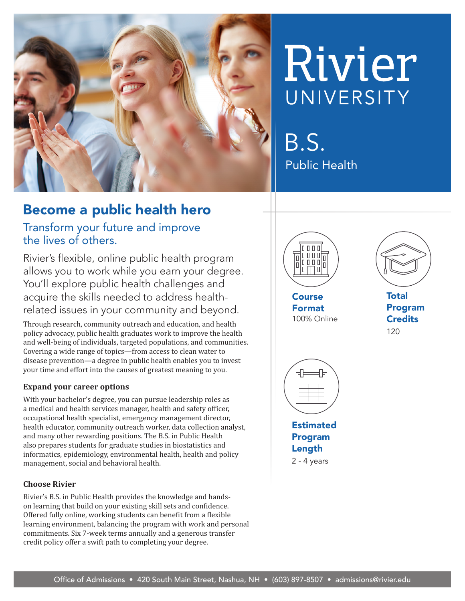

# Rivier UNIVERSITY

B.S. Public Health

# Become a public health hero

Transform your future and improve the lives of others.

Rivier's flexible, online public health program allows you to work while you earn your degree. You'll explore public health challenges and acquire the skills needed to address healthrelated issues in your community and beyond.

Through research, community outreach and education, and health policy advocacy, public health graduates work to improve the health and well-being of individuals, targeted populations, and communities. Covering a wide range of topics—from access to clean water to disease prevention—a degree in public health enables you to invest your time and effort into the causes of greatest meaning to you.

#### **Expand your career options**

With your bachelor's degree, you can pursue leadership roles as a medical and health services manager, health and safety officer, occupational health specialist, emergency management director, health educator, community outreach worker, data collection analyst, and many other rewarding positions. The B.S. in Public Health also prepares students for graduate studies in biostatistics and informatics, epidemiology, environmental health, health and policy management, social and behavioral health.

#### **Choose Rivier**

Rivier's B.S. in Public Health provides the knowledge and handson learning that build on your existing skill sets and confidence. Offered fully online, working students can benefit from a flexible learning environment, balancing the program with work and personal commitments. Six 7-week terms annually and a generous transfer credit policy offer a swift path to completing your degree.



**Course** Format 100% Online



**Total** Program **Credits** 120



Program Length 2 - 4 years